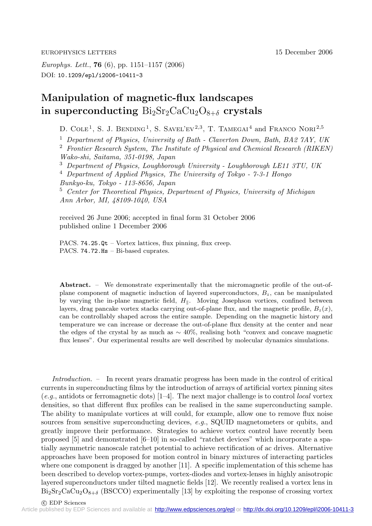EUROPHYSICS LETTERS 15 December 2006

*Europhys. Lett.*, **76** (6), pp. 1151–1157 (2006) DOI: 10.1209/epl/i2006-10411-3

## **Manipulation of magnetic-flux landscapes** in superconducting  $Bi_2Sr_2CaCu_2O_{8+\delta}$  crystals

D. COLE<sup>1</sup>, S. J. BENDING<sup>1</sup>, S. SAVEL'EV<sup>2,3</sup>, T. TAMEGAI<sup>4</sup> and FRANCO NORI<sup>2,5</sup>

<sup>1</sup> *Department of Physics, University of Bath - Claverton Down, Bath, BA2 7AY, UK*

<sup>2</sup> *Frontier Research System, The Institute of Physical and Chemical Research (RIKEN) Wako-shi, Saitama, 351-0198, Japan*

<sup>3</sup> *Department of Physics, Loughborough University - Loughborough LE11 3TU, UK*

<sup>4</sup> *Department of Applied Physics, The University of Tokyo - 7-3-1 Hongo Bunkyo-ku, Tokyo - 113-8656, Japan*

<sup>5</sup> *Center for Theoretical Physics, Department of Physics, University of Michigan*

*Ann Arbor, MI, 48109-1040, USA*

received 26 June 2006; accepted in final form 31 October 2006 published online 1 December 2006

PACS. 74.25.Qt – Vortex lattices, flux pinning, flux creep. PACS. 74.72.Hs - Bi-based cuprates.

Abstract. – We demonstrate experimentally that the micromagnetic profile of the out-ofplane component of magnetic induction of layered superconductors, *Bz*, can be manipulated by varying the in-plane magnetic field,  $H_{\parallel}$ . Moving Josephson vortices, confined between layers, drag pancake vortex stacks carrying out-of-plane flux, and the magnetic profile,  $B_z(x)$ , can be controllably shaped across the entire sample. Depending on the magnetic history and temperature we can increase or decrease the out-of-plane flux density at the center and near the edges of the crystal by as much as ∼ 40%, realising both "convex and concave magnetic flux lenses". Our experimental results are well described by molecular dynamics simulations.

*Introduction.* – In recent years dramatic progress has been made in the control of critical currents in superconducting films by the introduction of arrays of artificial vortex pinning sites (*e.g.*, antidots or ferromagnetic dots) [1–4]. The next major challenge is to control *local* vortex densities, so that different flux profiles can be realised in the same superconducting sample. The ability to manipulate vortices at will could, for example, allow one to remove flux noise sources from sensitive superconducting devices, *e.g.*, SQUID magnetometers or qubits, and greatly improve their performance. Strategies to achieve vortex control have recently been proposed [5] and demonstrated [6–10] in so-called "ratchet devices" which incorporate a spatially asymmetric nanoscale ratchet potential to achieve rectification ofac drives. Alternative approaches have been proposed for motion control in binary mixtures of interacting particles where one component is dragged by another [11]. A specific implementation of this scheme has been described to develop vortex-pumps, vortex-diodes and vortex-lenses in highly anisotropic layered superconductors under tilted magnetic fields [12]. We recently realised a vortex lens in  $Bi_2Sr_2CaCu_2O_{8+\delta}$  (BSCCO) experimentally [13] by exploiting the response of crossing vortex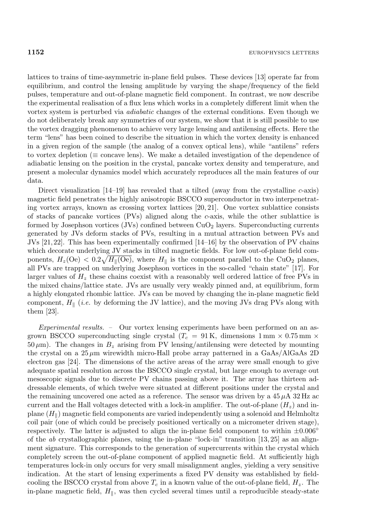lattices to trains of time-asymmetric in-plane field pulses. These devices [13] operate far from equilibrium, and control the lensing amplitude by varying the shape/frequency of the field pulses, temperature and out-of-plane magnetic field component. In contrast, we now describe the experimental realisation of a flux lens which works in a completely different limit when the vortex system is perturbed via *adiabatic* changes of the external conditions. Even though we do not deliberately break any symmetries of our system, we show that it is still possible to use the vortex dragging phenomenon to achieve very large lensing and antilensing effects. Here the term "lens" has been coined to describe the situation in which the vortex density is enhanced in a given region of the sample (the analog of a convex optical lens), while "antilens" refers to vortex depletion ( $\equiv$  concave lens). We make a detailed investigation of the dependence of adiabatic lensing on the position in the crystal, pancake vortex density and temperature, and present a molecular dynamics model which accurately reproduces all the main features of our data.

Direct visualization  $[14-19]$  has revealed that a tilted (away from the crystalline c-axis) magnetic field penetrates the highly anisotropic BSCCO superconductor in two interpenetrating vortex arrays, known as crossing vortex lattices [20, 21]. One vortex sublattice consists of stacks of pancake vortices (PVs) aligned along the c-axis, while the other sublattice is formed by Josephson vortices  $(JVs)$  confined between  $CuO<sub>2</sub>$  layers. Superconducting currents generated by JVs deform stacks of PVs, resulting in a mutual attraction between PVs and JVs  $[21, 22]$ . This has been experimentally confirmed  $[14–16]$  by the observation of PV chains which decorate underlying JV stacks in tilted magnetic fields. For low out-of-plane field components,  $H_z(\text{Oe}) < 0.2 \sqrt{H_{\parallel}(\text{Oe})}$ , where  $H_{\parallel}$  is the component parallel to the CuO<sub>2</sub> planes, all PVs are trapped on underlying Josephson vortices in the so-called "chain state" [17]. For larger values of  $H<sub>z</sub>$  these chains coexist with a reasonably well ordered lattice of free PVs in the mixed chains/lattice state. JVs are usually very weakly pinned and, at equilibrium, form a highly elongated rhombic lattice. JVs can be moved by changing the in-plane magnetic field component,  $H_{\parallel}$  (*i.e.* by deforming the JV lattice), and the moving JVs drag PVs along with them [23].

*Experimental results. –* Our vortex lensing experiments have been performed on an asgrown BSCCO superconducting single crystal ( $T_c = 91$  K, dimensions  $1 \text{ mm} \times 0.75 \text{ mm} \times$  $50 \,\mu\text{m}$ ). The changes in  $B_z$  arising from PV lensing/antilensing were detected by mounting the crystal on a  $25 \mu m$  wirewidth micro-Hall probe array patterned in a GaAs/AlGaAs 2D electron gas  $[24]$ . The dimensions of the active areas of the array were small enough to give adequate spatial resolution across the BSCCO single crystal, but large enough to average out mesoscopic signals due to discrete PV chains passing above it. The array has thirteen addressable elements, of which twelve were situated at different positions under the crystal and the remaining uncovered one acted as a reference. The sensor was driven by a  $45 \mu A$  32 Hz ac current and the Hall voltages detected with a lock-in amplifier. The out-of-plane  $(H_z)$  and inplane  $(H_{\parallel})$  magnetic field components are varied independently using a solenoid and Helmholtz coil pair (one of which could be precisely positioned vertically on a micrometer driven stage), respectively. The latter is adjusted to align the in-plane field component to within  $\pm 0.006°$ of the *ab* crystallographic planes, using the in-plane "lock-in" transition  $[13, 25]$  as an alignment signature. This corresponds to the generation of supercurrents within the crystal which completely screen the out-of-plane component of applied magnetic field. At sufficiently high temperatures lock-in only occurs for very small misalignment angles, yielding a very sensitive indication. At the start of lensing experiments a fixed PV density was established by fieldcooling the BSCCO crystal from above  $T_c$  in a known value of the out-of-plane field,  $H_z$ . The in-plane magnetic field,  $H_{\parallel}$ , was then cycled several times until a reproducible steady-state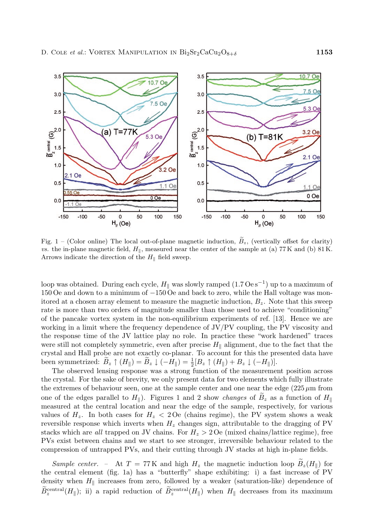

Fig.  $1 -$  (Color online) The local out-of-plane magnetic induction,  $B_z$ , (vertically offset for clarity) *vs.* the in-plane magnetic field,  $H_{\parallel}$ , measured near the center of the sample at (a) 77 K and (b) 81 K. Arrows indicate the direction of the  $H_{\parallel}$  field sweep.

loop was obtained. During each cycle,  $H_{\parallel}$  was slowly ramped (1.7 Oe s<sup>−1</sup>) up to a maximum of 150 Oe and down to a minimum of −150 Oe and back to zero, while the Hall voltage was monitored at a chosen array element to measure the magnetic induction,  $B_z$ . Note that this sweep rate is more than two orders of magnitude smaller than those used to achieve "conditioning" of the pancake vortex system in the non-equilibrium experiments of ref. [13]. Hence we are working in a limit where the frequency dependence of JV/PV coupling, the PV viscosity and the response time of the JV lattice play no role. In practice these "work hardened" traces were still not completely symmetric, even after precise  $H_{\parallel}$  alignment, due to the fact that the crystal and Hall probe are not exactly co-planar. To account for this the presented data have been symmetrized:  $\widetilde{B}_z \uparrow (H_{\parallel}) = \widetilde{B}_z \downarrow (-H_{\parallel}) = \frac{1}{2} [B_z \uparrow (H_{\parallel}) + B_z \downarrow (-H_{\parallel})].$ 

The observed lensing response was a strong function of the measurement position across the crystal. For the sake of brevity, we only present data for two elements which fully illustrate the extremes of behaviour seen, one at the sample center and one near the edge  $(225 \,\mu m)$  from one of the edges parallel to  $H_{\parallel}$ ). Figures 1 and 2 show *changes* of  $B_z$  as a function of  $H_{\parallel}$ measured at the central location and near the edge of the sample, respectively, for various values of  $H_z$ . In both cases for  $H_z < 2$  Oe (chains regime), the PV system shows a weak reversible response which inverts when  $H_z$  changes sign, attributable to the dragging of PV stacks which are *all* trapped on JV chains. For  $H_z > 2$  Oe (mixed chains/lattice regime), free PVs exist between chains and we start to see stronger, irreversible behaviour related to the compression of untrapped PVs, and their cutting through JV stacks at high in-plane fields.

*Sample center.* – At  $T = 77$  K and high  $H_z$  the magnetic induction loop  $B_z(H_{\parallel})$  for the central element (fig. 1a) has a "butterfly" shape exhibiting: i) a fast increase of PV density when  $H_{\parallel}$  increases from zero, followed by a weaker (saturation-like) dependence of  $B_z^{\text{central}}(H_{\parallel})$ ; ii) a rapid reduction of  $B_z^{\text{central}}(H_{\parallel})$  when  $H_{\parallel}$  decreases from its maximum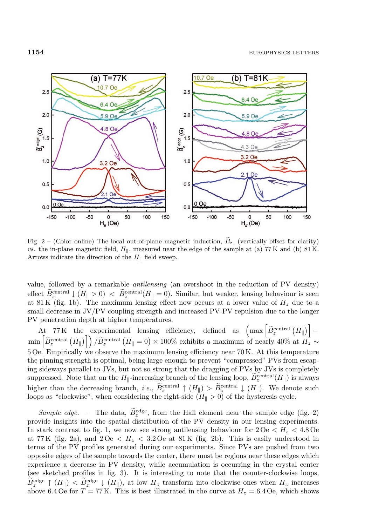

Fig.  $2 -$  (Color online) The local out-of-plane magnetic induction,  $B_z$ , (vertically offset for clarity) *vs.* the in-plane magnetic field,  $H_{\parallel}$ , measured near the edge of the sample at (a) 77 K and (b) 81 K. Arrows indicate the direction of the  $H_{\parallel}$  field sweep.

value, followed by a remarkable *antilensing* (an overshoot in the reduction of PV density) effect  $B_z^{\text{central}} \downarrow (H_{\parallel} > 0) < B_z^{\text{central}} (H_{\parallel} = 0)$ . Similar, but weaker, lensing behaviour is seen at 81 K (fig. 1b). The maximum lensing effect now occurs at a lower value of  $H<sub>z</sub>$  due to a small decrease in JV/PV coupling strength and increased PV-PV repulsion due to the longer PV penetration depth at higher temperatures.

At 77 K the experimental lensing efficiency, defined as  $\left(\max \left[\widetilde{B}_z^{\text{central}}\left(H_{\parallel}\right)\right] - \min \left[\widetilde{B}_z^{\text{central}}\left(H_{\parallel}\right)\right]\right) / \widetilde{B}_z^{\text{central}}\left(H_{\parallel} = 0\right) \times 100\%$  exhibits a maximum of nearly 40% at  $H_z \sim$ 5 Oe. Empirically we observe the maximum lensing efficiency near 70 K. At this temperature the pinning strength is optimal, being large enough to prevent "compressed" PVs from escaping sideways parallel to JVs, but not so strong that the dragging ofPVs by JVs is completely suppressed. Note that on the  $H_{\parallel}$ -increasing branch of the lensing loop,  $\widetilde{B}_z^{\text{central}}(H_{\parallel})$  is always higher than the decreasing branch, *i.e.*,  $\tilde{B}_z^{\text{central}} \uparrow (H_{\parallel}) > \tilde{B}_z^{\text{central}} \downarrow (H_{\parallel})$ . We denote such loops as "clockwise", when considering the right-side  $(H_{\parallel} > 0)$  of the hysteresis cycle.

*Sample edge.* – The data,  $\tilde{B}_z^{\text{edge}}$ , from the Hall element near the sample edge (fig. 2) provide insights into the spatial distribution of the PV density in our lensing experiments. In stark contrast to fig. 1, we now see strong antilensing behaviour for  $2 Oe < H<sub>z</sub> < 4.8 Oe$ at 77 K (fig. 2a), and  $2\,\mathrm{Oe} \, < H_z \, < 3.2\,\mathrm{Oe}$  at 81 K (fig. 2b). This is easily understood in terms of the PV profiles generated during our experiments. Since PVs are pushed from two opposite edges ofthe sample towards the center, there must be regions near these edges which experience a decrease in PV density, while accumulation is occurring in the crystal center (see sketched profiles in fig. 3). It is interesting to note that the counter-clockwise loops,  $\tilde{B}^{\text{edge}}_{z} \uparrow (H_{\parallel}) < \tilde{B}^{\text{edge}}_{z} \downarrow (H_{\parallel})$ , at low  $H_{z}$  transform into clockwise ones when  $H_{z}$  increases above 6.4 Oe for  $T = 77$  K. This is best illustrated in the curve at  $H_z = 6.4$  Oe, which shows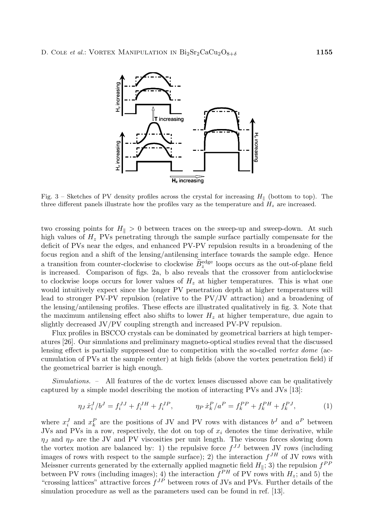

Fig. 3 – Sketches of PV density profiles across the crystal for increasing  $H_{\parallel}$  (bottom to top). The three different panels illustrate how the profiles vary as the temperature and  $H_z$  are increased.

two crossing points for  $H_{\parallel} > 0$  between traces on the sweep-up and sweep-down. At such high values of  $H_z$  PVs penetrating through the sample surface partially compensate for the deficit of PVs near the edges, and enhanced PV-PV repulsion results in a broadening of the focus region and a shift of the lensing/antilensing interface towards the sample edge. Hence a transition from counter-clockwise to clockwise  $B_z^{\text{edge}}$  loops occurs as the out-of-plane field is increased. Comparison of figs. 2a, b also reveals that the crossover from anticlockwise to clockwise loops occurs for lower values of  $H<sub>z</sub>$  at higher temperatures. This is what one would intuitively expect since the longer PV penetration depth at higher temperatures will lead to stronger PV-PV repulsion (relative to the PV/JV attraction) and a broadening of the lensing/antilensing profiles. These effects are illustrated qualitatively in fig. 3. Note that the maximum antilensing effect also shifts to lower  $H<sub>z</sub>$  at higher temperature, due again to slightly decreased JV/PV coupling strength and increased PV-PV repulsion.

Flux profiles in BSCCO crystals can be dominated by geometrical barriers at high temperatures [26]. Our simulations and preliminary magneto-optical studies reveal that the discussed lensing effect is partially suppressed due to competition with the so-called *vortex dome* (accumulation ofPVs at the sample center) at high fields (above the vortex penetration field) if the geometrical barrier is high enough.

*Simulations. –* All features of the dc vortex lenses discussed above can be qualitatively captured by a simple model describing the motion of interacting PVs and JVs [13]:

$$
\eta_J \dot{x}_i^J / b^J = f_i^{JJ} + f_i^{JI} + f_i^{JP}, \qquad \eta_P \dot{x}_k^P / a^P = f_k^{PP} + f_k^{PH} + f_k^{PJ}, \qquad (1)
$$

where  $x_i^J$  and  $x_k^P$  are the positions of JV and PV rows with distances  $b^J$  and  $a^P$  between JVs and PVs in a row, respectively, the dot on top of  $x_i$  denotes the time derivative, while  $\eta_J$  and  $\eta_P$  are the JV and PV viscosities per unit length. The viscous forces slowing down the vortex motion are balanced by: 1) the repulsive force  $f^{JJ}$  between JV rows (including images of rows with respect to the sample surface); 2) the interaction  $f^{JH}$  of JV rows with Meissner currents generated by the externally applied magnetic field  $H_{\parallel}$ ; 3) the repulsion  $f^{PP}$ between PV rows (including images); 4) the interaction  $f^{PH}$  of PV rows with  $H_z$ ; and 5) the "crossing lattices" attractive forces  $f^{JP}$  between rows of JVs and PVs. Further details of the simulation procedure as well as the parameters used can be found in ref. [13].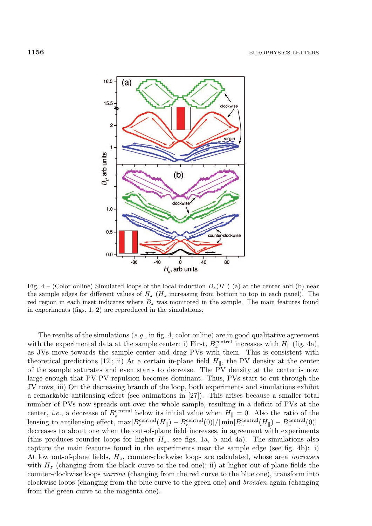

Fig. 4 – (Color online) Simulated loops of the local induction  $B_z(H_{\parallel})$  (a) at the center and (b) near the sample edges for different values of *H<sup>z</sup>* (*H<sup>z</sup>* increasing from bottom to top in each panel). The red region in each inset indicates where *B<sup>z</sup>* was monitored in the sample. The main features found in experiments (figs. 1, 2) are reproduced in the simulations.

The results of the simulations  $(e.g., \text{ in fig. 4, color online})$  are in good qualitative agreement with the experimental data at the sample center: i) First,  $B_z^{\text{central}}$  increases with  $H_{\parallel}$  (fig. 4a), as JVs move towards the sample center and drag PVs with them. This is consistent with theoretical predictions [12]; ii) At a certain in-plane field  $H_{\parallel}$ , the PV density at the center of the sample saturates and even starts to decrease. The PV density at the center is now large enough that PV-PV repulsion becomes dominant. Thus, PVs start to cut through the JV rows; iii) On the decreasing branch of the loop, both experiments and simulations exhibit a remarkable antilensing effect (see animations in [27]). This arises because a smaller total number of PVs now spreads out over the whole sample, resulting in a deficit of PVs at the center, *i.e.*, a decrease of  $B_z^{\text{central}}$  below its initial value when  $H_{\parallel} = 0$ . Also the ratio of the lensing to antilensing effect,  $\max[B_z^{\text{central}}(H_{\parallel}) - B_z^{\text{central}}(0)] / |\min[B_z^{\text{central}}(H_{\parallel}) - B_z^{\text{central}}(0)]|$ decreases to about one when the out-of-plane field increases, in agreement with experiments (this produces rounder loops for higher  $H_z$ , see figs. 1a, b and 4a). The simulations also capture the main features found in the experiments near the sample edge (see fig. 4b): i) At low out-of-plane fields, Hz, counter-clockwise loops are calculated, whose area *increases* with  $H<sub>z</sub>$  (changing from the black curve to the red one); ii) at higher out-of-plane fields the counter-clockwise loops *narrow* (changing from the red curve to the blue one), transform into clockwise loops (changing from the blue curve to the green one) and *broaden* again (changing from the green curve to the magenta one).